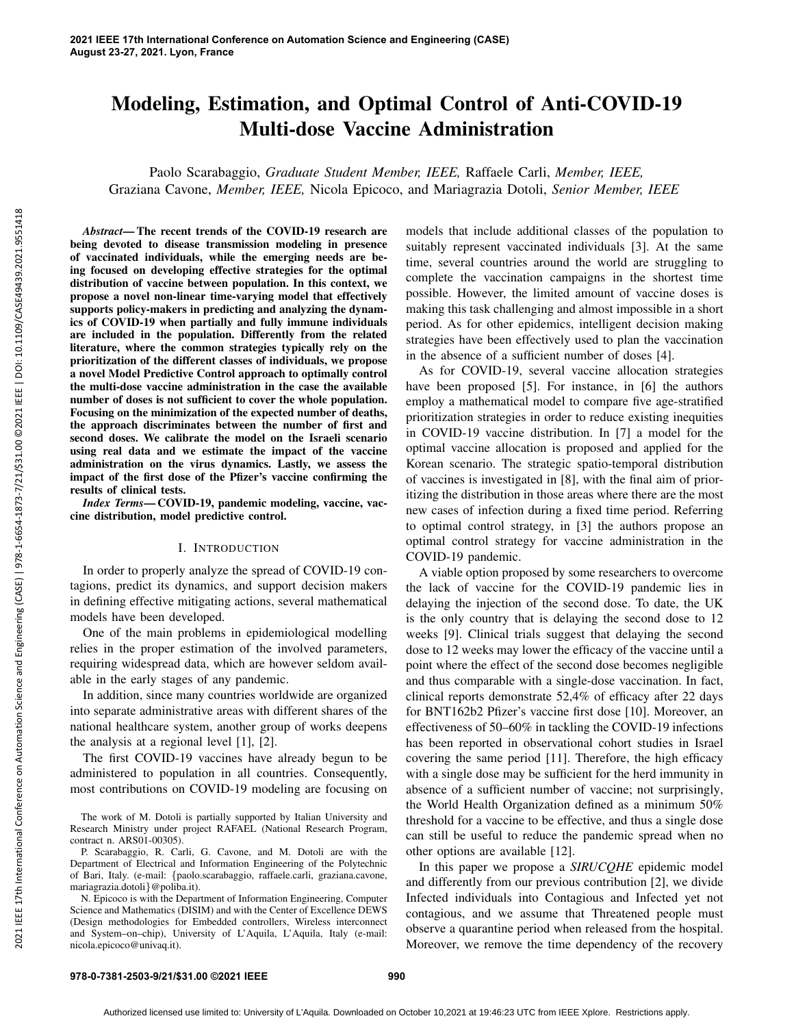# Modeling, Estimation, and Optimal Control of Anti-COVID-19 Multi-dose Vaccine Administration

Paolo Scarabaggio, *Graduate Student Member, IEEE,* Raffaele Carli, *Member, IEEE,* Graziana Cavone, *Member, IEEE,* Nicola Epicoco, and Mariagrazia Dotoli, *Senior Member, IEEE*

*Abstract*— The recent trends of the COVID-19 research are being devoted to disease transmission modeling in presence of vaccinated individuals, while the emerging needs are being focused on developing effective strategies for the optimal distribution of vaccine between population. In this context, we propose a novel non-linear time-varying model that effectively supports policy-makers in predicting and analyzing the dynamics of COVID-19 when partially and fully immune individuals are included in the population. Differently from the related literature, where the common strategies typically rely on the prioritization of the different classes of individuals, we propose a novel Model Predictive Control approach to optimally control the multi-dose vaccine administration in the case the available number of doses is not sufficient to cover the whole population. Focusing on the minimization of the expected number of deaths, the approach discriminates between the number of first and second doses. We calibrate the model on the Israeli scenario using real data and we estimate the impact of the vaccine administration on the virus dynamics. Lastly, we assess the impact of the first dose of the Pfizer's vaccine confirming the results of clinical tests.

*Index Terms*— COVID-19, pandemic modeling, vaccine, vaccine distribution, model predictive control.

## I. INTRODUCTION

In order to properly analyze the spread of COVID-19 contagions, predict its dynamics, and support decision makers in defining effective mitigating actions, several mathematical models have been developed.

One of the main problems in epidemiological modelling relies in the proper estimation of the involved parameters, requiring widespread data, which are however seldom available in the early stages of any pandemic.

In addition, since many countries worldwide are organized into separate administrative areas with different shares of the national healthcare system, another group of works deepens the analysis at a regional level [1], [2].

The first COVID-19 vaccines have already begun to be administered to population in all countries. Consequently, most contributions on COVID-19 modeling are focusing on

N. Epicoco is with the Department of Information Engineering, Computer Science and Mathematics (DISIM) and with the Center of Excellence DEWS (Design methodologies for Embedded controllers, Wireless interconnect and System–on–chip), University of L'Aquila, L'Aquila, Italy (e-mail: nicola.epicoco@univaq.it).

models that include additional classes of the population to suitably represent vaccinated individuals [3]. At the same time, several countries around the world are struggling to complete the vaccination campaigns in the shortest time possible. However, the limited amount of vaccine doses is making this task challenging and almost impossible in a short period. As for other epidemics, intelligent decision making strategies have been effectively used to plan the vaccination in the absence of a sufficient number of doses [4].

As for COVID-19, several vaccine allocation strategies have been proposed [5]. For instance, in [6] the authors employ a mathematical model to compare five age-stratified prioritization strategies in order to reduce existing inequities in COVID-19 vaccine distribution. In [7] a model for the optimal vaccine allocation is proposed and applied for the Korean scenario. The strategic spatio-temporal distribution of vaccines is investigated in [8], with the final aim of prioritizing the distribution in those areas where there are the most new cases of infection during a fixed time period. Referring to optimal control strategy, in [3] the authors propose an optimal control strategy for vaccine administration in the COVID-19 pandemic.

A viable option proposed by some researchers to overcome the lack of vaccine for the COVID-19 pandemic lies in delaying the injection of the second dose. To date, the UK is the only country that is delaying the second dose to 12 weeks [9]. Clinical trials suggest that delaying the second dose to 12 weeks may lower the efficacy of the vaccine until a point where the effect of the second dose becomes negligible and thus comparable with a single-dose vaccination. In fact, clinical reports demonstrate 52,4% of efficacy after 22 days for BNT162b2 Pfizer's vaccine first dose [10]. Moreover, an effectiveness of 50–60% in tackling the COVID-19 infections has been reported in observational cohort studies in Israel covering the same period [11]. Therefore, the high efficacy with a single dose may be sufficient for the herd immunity in absence of a sufficient number of vaccine; not surprisingly, the World Health Organization defined as a minimum 50% threshold for a vaccine to be effective, and thus a single dose can still be useful to reduce the pandemic spread when no other options are available [12].

In this paper we propose a *SIRUCQHE* epidemic model and differently from our previous contribution [2], we divide Infected individuals into Contagious and Infected yet not contagious, and we assume that Threatened people must observe a quarantine period when released from the hospital. Moreover, we remove the time dependency of the recovery

The work of M. Dotoli is partially supported by Italian University and Research Ministry under project RAFAEL (National Research Program, contract n. ARS01-00305).

P. Scarabaggio, R. Carli, G. Cavone, and M. Dotoli are with the Department of Electrical and Information Engineering of the Polytechnic of Bari, Italy. (e-mail: {paolo.scarabaggio, raffaele.carli, graziana.cavone, mariagrazia.dotoli}@poliba.it).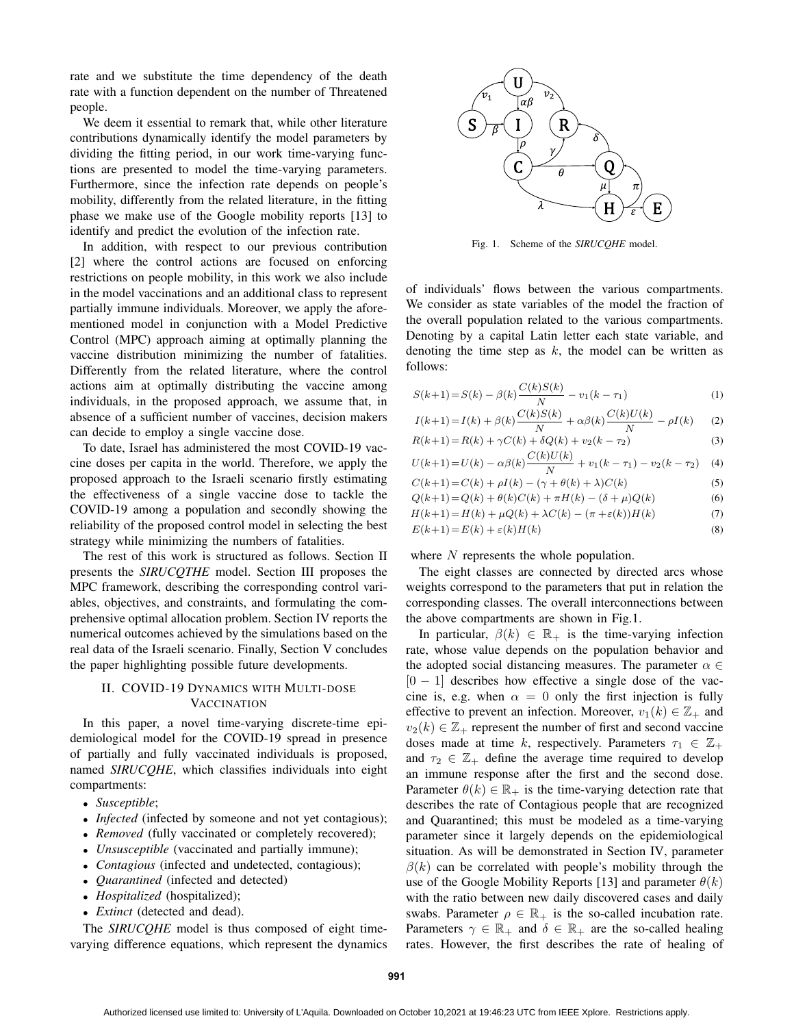rate and we substitute the time dependency of the death rate with a function dependent on the number of Threatened people.

We deem it essential to remark that, while other literature contributions dynamically identify the model parameters by dividing the fitting period, in our work time-varying functions are presented to model the time-varying parameters. Furthermore, since the infection rate depends on people's mobility, differently from the related literature, in the fitting phase we make use of the Google mobility reports [13] to identify and predict the evolution of the infection rate.

In addition, with respect to our previous contribution [2] where the control actions are focused on enforcing restrictions on people mobility, in this work we also include in the model vaccinations and an additional class to represent partially immune individuals. Moreover, we apply the aforementioned model in conjunction with a Model Predictive Control (MPC) approach aiming at optimally planning the vaccine distribution minimizing the number of fatalities. Differently from the related literature, where the control actions aim at optimally distributing the vaccine among individuals, in the proposed approach, we assume that, in absence of a sufficient number of vaccines, decision makers can decide to employ a single vaccine dose.

To date, Israel has administered the most COVID-19 vaccine doses per capita in the world. Therefore, we apply the proposed approach to the Israeli scenario firstly estimating the effectiveness of a single vaccine dose to tackle the COVID-19 among a population and secondly showing the reliability of the proposed control model in selecting the best strategy while minimizing the numbers of fatalities.

The rest of this work is structured as follows. Section II presents the *SIRUCQTHE* model. Section III proposes the MPC framework, describing the corresponding control variables, objectives, and constraints, and formulating the comprehensive optimal allocation problem. Section IV reports the numerical outcomes achieved by the simulations based on the real data of the Israeli scenario. Finally, Section V concludes the paper highlighting possible future developments.

## II. COVID-19 DYNAMICS WITH MULTI-DOSE **VACCINATION**

In this paper, a novel time-varying discrete-time epidemiological model for the COVID-19 spread in presence of partially and fully vaccinated individuals is proposed, named *SIRUCQHE*, which classifies individuals into eight compartments:

- *Susceptible*;
- *Infected* (infected by someone and not yet contagious);
- *Removed* (fully vaccinated or completely recovered);
- *Unsusceptible* (vaccinated and partially immune);
- *Contagious* (infected and undetected, contagious);
- *Quarantined* (infected and detected)
- *Hospitalized* (hospitalized);
- *Extinct* (detected and dead).

The *SIRUCQHE* model is thus composed of eight timevarying difference equations, which represent the dynamics



Fig. 1. Scheme of the *SIRUCQHE* model.

of individuals' flows between the various compartments. We consider as state variables of the model the fraction of the overall population related to the various compartments. Denoting by a capital Latin letter each state variable, and denoting the time step as  $k$ , the model can be written as follows:

$$
S(k+1) = S(k) - \beta(k)\frac{C(k)S(k)}{N} - v_1(k - \tau_1)
$$
\n(1)

$$
I(k+1) = I(k) + \beta(k)\frac{C(k)S(k)}{N} + \alpha\beta(k)\frac{C(k)U(k)}{N} - \rho I(k)
$$
 (2)

$$
R(k+1) = R(k) + \gamma C(k) + \delta Q(k) + v_2(k - \tau_2)
$$
\n(3)

$$
U(k+1) = U(k) - \alpha\beta(k)\frac{C(k)U(k)}{N} + v_1(k-\tau_1) - v_2(k-\tau_2)
$$
 (4)

$$
C(k+1) = C(k) + \rho I(k) - (\gamma + \theta(k) + \lambda)C(k)
$$
\n
$$
O(k+1) - O(k) + \theta(k)C(k) + \pi H(k) - (\delta + \mu)O(k)
$$
\n(6)

$$
Q(k+1) = Q(k) + \theta(k)C(k) + \pi H(k) - (\theta + \mu)Q(k)
$$
(6)  

$$
H(k+1) - H(k) + \pi Q(k) + \lambda C(k) - (\pi + \epsilon(k))H(k)
$$
(7)

$$
H(k+1) = H(k) + \mu Q(k) + \lambda C(k) - (\pi + \varepsilon(k))H(k)
$$
  
(7)  

$$
E(k+1) = E(k) + \varepsilon(k)H(k)
$$
 (8)

where N represents the whole population.

The eight classes are connected by directed arcs whose weights correspond to the parameters that put in relation the corresponding classes. The overall interconnections between the above compartments are shown in Fig.1.

In particular,  $\beta(k) \in \mathbb{R}_+$  is the time-varying infection rate, whose value depends on the population behavior and the adopted social distancing measures. The parameter  $\alpha \in$  $[0 - 1]$  describes how effective a single dose of the vaccine is, e.g. when  $\alpha = 0$  only the first injection is fully effective to prevent an infection. Moreover,  $v_1(k) \in \mathbb{Z}_+$  and  $v_2(k) \in \mathbb{Z}_+$  represent the number of first and second vaccine doses made at time k, respectively. Parameters  $\tau_1 \in \mathbb{Z}_+$ and  $\tau_2 \in \mathbb{Z}_+$  define the average time required to develop an immune response after the first and the second dose. Parameter  $\theta(k) \in \mathbb{R}_+$  is the time-varying detection rate that describes the rate of Contagious people that are recognized and Quarantined; this must be modeled as a time-varying parameter since it largely depends on the epidemiological situation. As will be demonstrated in Section IV, parameter  $\beta(k)$  can be correlated with people's mobility through the use of the Google Mobility Reports [13] and parameter  $\theta(k)$ with the ratio between new daily discovered cases and daily swabs. Parameter  $\rho \in \mathbb{R}_+$  is the so-called incubation rate. Parameters  $\gamma \in \mathbb{R}_+$  and  $\delta \in \mathbb{R}_+$  are the so-called healing rates. However, the first describes the rate of healing of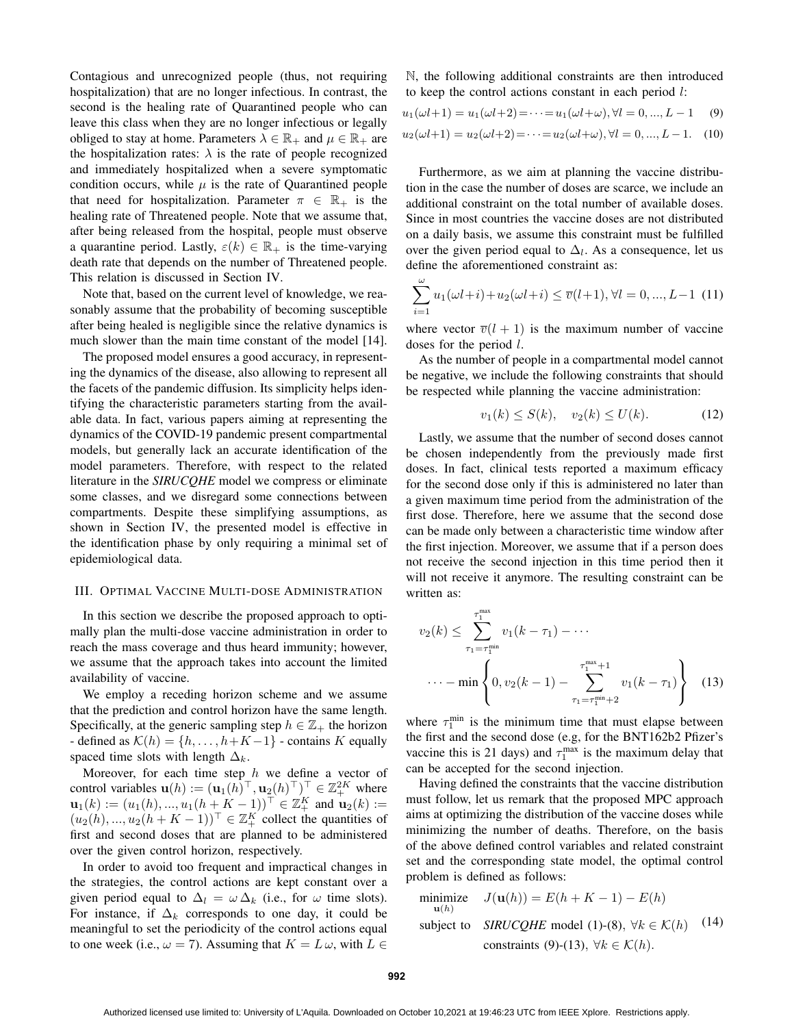Contagious and unrecognized people (thus, not requiring hospitalization) that are no longer infectious. In contrast, the second is the healing rate of Quarantined people who can leave this class when they are no longer infectious or legally obliged to stay at home. Parameters  $\lambda \in \mathbb{R}_+$  and  $\mu \in \mathbb{R}_+$  are the hospitalization rates:  $\lambda$  is the rate of people recognized and immediately hospitalized when a severe symptomatic condition occurs, while  $\mu$  is the rate of Quarantined people that need for hospitalization. Parameter  $\pi \in \mathbb{R}_+$  is the healing rate of Threatened people. Note that we assume that, after being released from the hospital, people must observe a quarantine period. Lastly,  $\varepsilon(k) \in \mathbb{R}_+$  is the time-varying death rate that depends on the number of Threatened people. This relation is discussed in Section IV.

Note that, based on the current level of knowledge, we reasonably assume that the probability of becoming susceptible after being healed is negligible since the relative dynamics is much slower than the main time constant of the model [14].

The proposed model ensures a good accuracy, in representing the dynamics of the disease, also allowing to represent all the facets of the pandemic diffusion. Its simplicity helps identifying the characteristic parameters starting from the available data. In fact, various papers aiming at representing the dynamics of the COVID-19 pandemic present compartmental models, but generally lack an accurate identification of the model parameters. Therefore, with respect to the related literature in the *SIRUCQHE* model we compress or eliminate some classes, and we disregard some connections between compartments. Despite these simplifying assumptions, as shown in Section IV, the presented model is effective in the identification phase by only requiring a minimal set of epidemiological data.

#### III. OPTIMAL VACCINE MULTI-DOSE ADMINISTRATION

In this section we describe the proposed approach to optimally plan the multi-dose vaccine administration in order to reach the mass coverage and thus heard immunity; however, we assume that the approach takes into account the limited availability of vaccine.

We employ a receding horizon scheme and we assume that the prediction and control horizon have the same length. Specifically, at the generic sampling step  $h \in \mathbb{Z}_+$  the horizon - defined as  $\mathcal{K}(h) = \{h, \ldots, h + K - 1\}$  - contains K equally spaced time slots with length  $\Delta_k$ .

Moreover, for each time step  $h$  we define a vector of control variables  $\mathbf{u}(h) := (\mathbf{u}_1(h)^\top, \mathbf{u}_2(h)^\top)^\top \in \mathbb{Z}_+^{2K}$  where  $\mathbf{u}_1(k) := (u_1(h), ..., u_1(h+K-1))^{\top} \in \mathbb{Z}_+^K$  and  $\mathbf{u}_2(k) :=$  $(u_2(h),...,u_2(h+K-1))^{\top} \in \mathbb{Z}_+^K$  collect the quantities of first and second doses that are planned to be administered over the given control horizon, respectively.

In order to avoid too frequent and impractical changes in the strategies, the control actions are kept constant over a given period equal to  $\Delta_l = \omega \Delta_k$  (i.e., for  $\omega$  time slots). For instance, if  $\Delta_k$  corresponds to one day, it could be meaningful to set the periodicity of the control actions equal to one week (i.e.,  $\omega = 7$ ). Assuming that  $K = L \omega$ , with  $L \in$ 

N, the following additional constraints are then introduced to keep the control actions constant in each period l:

$$
u_1(\omega l + 1) = u_1(\omega l + 2) = \dots = u_1(\omega l + \omega), \forall l = 0, ..., L - 1 \quad (9)
$$

$$
u_2(\omega l + 1) = u_2(\omega l + 2) = \dots = u_2(\omega l + \omega), \forall l = 0, ..., L - 1.
$$
 (10)

Furthermore, as we aim at planning the vaccine distribution in the case the number of doses are scarce, we include an additional constraint on the total number of available doses. Since in most countries the vaccine doses are not distributed on a daily basis, we assume this constraint must be fulfilled over the given period equal to  $\Delta_l$ . As a consequence, let us define the aforementioned constraint as:

$$
\sum_{i=1}^{\omega} u_1(\omega l + i) + u_2(\omega l + i) \le \overline{v}(l+1), \forall l = 0, ..., L-1 \tag{11}
$$

where vector  $\overline{v}(l + 1)$  is the maximum number of vaccine doses for the period l.

As the number of people in a compartmental model cannot be negative, we include the following constraints that should be respected while planning the vaccine administration:

$$
v_1(k) \le S(k), \quad v_2(k) \le U(k). \tag{12}
$$

Lastly, we assume that the number of second doses cannot be chosen independently from the previously made first doses. In fact, clinical tests reported a maximum efficacy for the second dose only if this is administered no later than a given maximum time period from the administration of the first dose. Therefore, here we assume that the second dose can be made only between a characteristic time window after the first injection. Moreover, we assume that if a person does not receive the second injection in this time period then it will not receive it anymore. The resulting constraint can be written as:

$$
v_2(k) \le \sum_{\tau_1 = \tau_1^{\min}}^{\tau_1^{\max}} v_1(k - \tau_1) - \cdots
$$
  
 
$$
\cdots - \min \left\{ 0, v_2(k - 1) - \sum_{\tau_1 = \tau_1^{\min} + 2}^{\tau_1^{\max} + 1} v_1(k - \tau_1) \right\} (13)
$$

where  $\tau_1^{\text{min}}$  is the minimum time that must elapse between the first and the second dose (e.g, for the BNT162b2 Pfizer's vaccine this is 21 days) and  $\tau_1^{\text{max}}$  is the maximum delay that can be accepted for the second injection.

Having defined the constraints that the vaccine distribution must follow, let us remark that the proposed MPC approach aims at optimizing the distribution of the vaccine doses while minimizing the number of deaths. Therefore, on the basis of the above defined control variables and related constraint set and the corresponding state model, the optimal control problem is defined as follows:

minimize 
$$
J(\mathbf{u}(h)) = E(h + K - 1) - E(h)
$$
  
subject to *SIRUCQHE* model (1)-(8),  $\forall k \in \mathcal{K}(h)$  (14)  
constraints (9)-(13),  $\forall k \in \mathcal{K}(h)$ .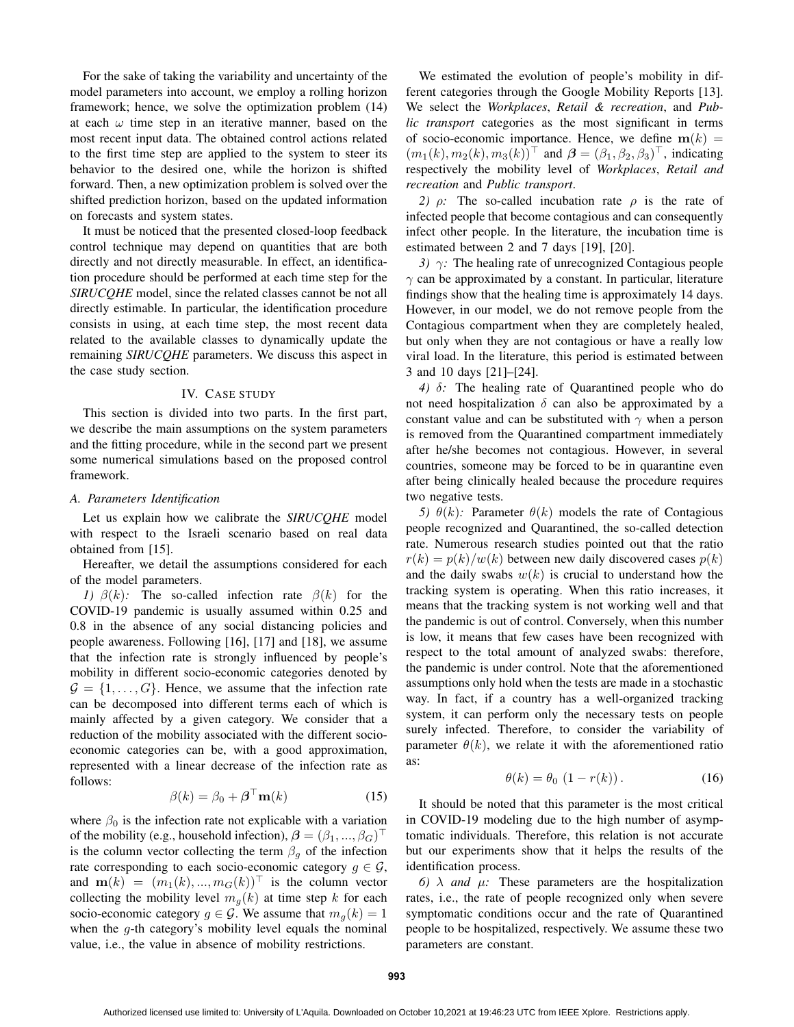For the sake of taking the variability and uncertainty of the model parameters into account, we employ a rolling horizon framework; hence, we solve the optimization problem (14) at each  $\omega$  time step in an iterative manner, based on the most recent input data. The obtained control actions related to the first time step are applied to the system to steer its behavior to the desired one, while the horizon is shifted forward. Then, a new optimization problem is solved over the shifted prediction horizon, based on the updated information on forecasts and system states.

It must be noticed that the presented closed-loop feedback control technique may depend on quantities that are both directly and not directly measurable. In effect, an identification procedure should be performed at each time step for the *SIRUCQHE* model, since the related classes cannot be not all directly estimable. In particular, the identification procedure consists in using, at each time step, the most recent data related to the available classes to dynamically update the remaining *SIRUCQHE* parameters. We discuss this aspect in the case study section.

#### IV. CASE STUDY

This section is divided into two parts. In the first part, we describe the main assumptions on the system parameters and the fitting procedure, while in the second part we present some numerical simulations based on the proposed control framework.

#### *A. Parameters Identification*

Let us explain how we calibrate the *SIRUCQHE* model with respect to the Israeli scenario based on real data obtained from [15].

Hereafter, we detail the assumptions considered for each of the model parameters.

*1)*  $\beta(k)$ : The so-called infection rate  $\beta(k)$  for the COVID-19 pandemic is usually assumed within 0.25 and 0.8 in the absence of any social distancing policies and people awareness. Following [16], [17] and [18], we assume that the infection rate is strongly influenced by people's mobility in different socio-economic categories denoted by  $\mathcal{G} = \{1, \ldots, G\}$ . Hence, we assume that the infection rate can be decomposed into different terms each of which is mainly affected by a given category. We consider that a reduction of the mobility associated with the different socioeconomic categories can be, with a good approximation, represented with a linear decrease of the infection rate as follows:

$$
\beta(k) = \beta_0 + \boldsymbol{\beta}^\top \mathbf{m}(k) \tag{15}
$$

where  $\beta_0$  is the infection rate not explicable with a variation of the mobility (e.g., household infection),  $\boldsymbol{\beta} = (\beta_1, ..., \beta_G)^{\top}$ is the column vector collecting the term  $\beta_g$  of the infection rate corresponding to each socio-economic category  $g \in \mathcal{G}$ , and  $\mathbf{m}(k) = (m_1(k), ..., m_G(k))^{\top}$  is the column vector collecting the mobility level  $m<sub>g</sub>(k)$  at time step k for each socio-economic category  $g \in \mathcal{G}$ . We assume that  $m_q(k) = 1$ when the  $q$ -th category's mobility level equals the nominal value, i.e., the value in absence of mobility restrictions.

We estimated the evolution of people's mobility in different categories through the Google Mobility Reports [13]. We select the *Workplaces*, *Retail & recreation*, and *Public transport* categories as the most significant in terms of socio-economic importance. Hence, we define  $m(k)$  =  $(m_1(k), m_2(k), m_3(k))^{\top}$  and  $\boldsymbol{\beta} = (\beta_1, \beta_2, \beta_3)^{\top}$ , indicating respectively the mobility level of *Workplaces*, *Retail and recreation* and *Public transport*.

*2)*  $ρ$ : The so-called incubation rate  $ρ$  is the rate of infected people that become contagious and can consequently infect other people. In the literature, the incubation time is estimated between 2 and 7 days [19], [20].

*3)* γ*:* The healing rate of unrecognized Contagious people  $\gamma$  can be approximated by a constant. In particular, literature findings show that the healing time is approximately 14 days. However, in our model, we do not remove people from the Contagious compartment when they are completely healed, but only when they are not contagious or have a really low viral load. In the literature, this period is estimated between 3 and 10 days [21]–[24].

*4)* δ*:* The healing rate of Quarantined people who do not need hospitalization  $\delta$  can also be approximated by a constant value and can be substituted with  $\gamma$  when a person is removed from the Quarantined compartment immediately after he/she becomes not contagious. However, in several countries, someone may be forced to be in quarantine even after being clinically healed because the procedure requires two negative tests.

*5)*  $\theta(k)$ : Parameter  $\theta(k)$  models the rate of Contagious people recognized and Quarantined, the so-called detection rate. Numerous research studies pointed out that the ratio  $r(k) = p(k)/w(k)$  between new daily discovered cases  $p(k)$ and the daily swabs  $w(k)$  is crucial to understand how the tracking system is operating. When this ratio increases, it means that the tracking system is not working well and that the pandemic is out of control. Conversely, when this number is low, it means that few cases have been recognized with respect to the total amount of analyzed swabs: therefore, the pandemic is under control. Note that the aforementioned assumptions only hold when the tests are made in a stochastic way. In fact, if a country has a well-organized tracking system, it can perform only the necessary tests on people surely infected. Therefore, to consider the variability of parameter  $\theta(k)$ , we relate it with the aforementioned ratio as:

$$
\theta(k) = \theta_0 \left( 1 - r(k) \right). \tag{16}
$$

It should be noted that this parameter is the most critical in COVID-19 modeling due to the high number of asymptomatic individuals. Therefore, this relation is not accurate but our experiments show that it helps the results of the identification process.

*6)*  $\lambda$  *and*  $\mu$ : These parameters are the hospitalization rates, i.e., the rate of people recognized only when severe symptomatic conditions occur and the rate of Quarantined people to be hospitalized, respectively. We assume these two parameters are constant.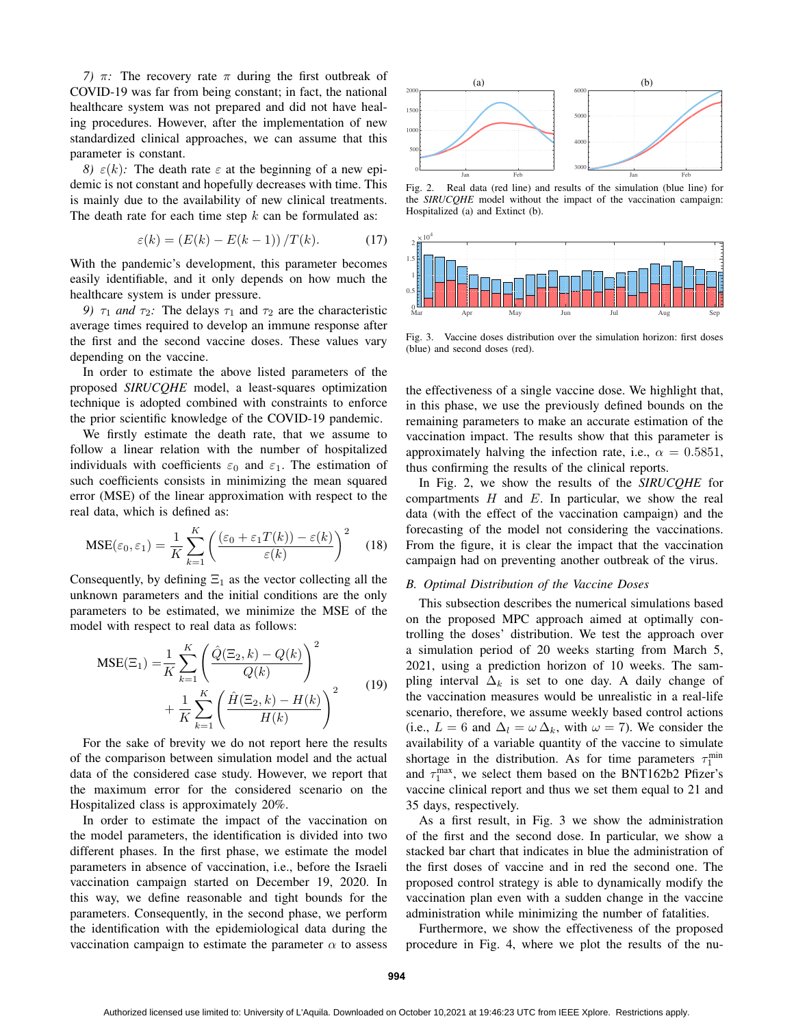*7)*  $\pi$ *:* The recovery rate  $\pi$  during the first outbreak of COVID-19 was far from being constant; in fact, the national healthcare system was not prepared and did not have healing procedures. However, after the implementation of new standardized clinical approaches, we can assume that this parameter is constant.

*8)*  $\varepsilon(k)$ : The death rate  $\varepsilon$  at the beginning of a new epidemic is not constant and hopefully decreases with time. This is mainly due to the availability of new clinical treatments. The death rate for each time step  $k$  can be formulated as:

$$
\varepsilon(k) = \left(E(k) - E(k-1)\right)/T(k). \tag{17}
$$

With the pandemic's development, this parameter becomes easily identifiable, and it only depends on how much the healthcare system is under pressure.

*9)*  $\tau_1$  *and*  $\tau_2$ : The delays  $\tau_1$  and  $\tau_2$  are the characteristic average times required to develop an immune response after the first and the second vaccine doses. These values vary depending on the vaccine.

In order to estimate the above listed parameters of the proposed *SIRUCQHE* model, a least-squares optimization technique is adopted combined with constraints to enforce the prior scientific knowledge of the COVID-19 pandemic.

We firstly estimate the death rate, that we assume to follow a linear relation with the number of hospitalized individuals with coefficients  $\varepsilon_0$  and  $\varepsilon_1$ . The estimation of such coefficients consists in minimizing the mean squared error (MSE) of the linear approximation with respect to the real data, which is defined as:

$$
MSE(\varepsilon_0, \varepsilon_1) = \frac{1}{K} \sum_{k=1}^{K} \left( \frac{(\varepsilon_0 + \varepsilon_1 T(k)) - \varepsilon(k)}{\varepsilon(k)} \right)^2 \quad (18)
$$

Consequently, by defining  $\Xi_1$  as the vector collecting all the unknown parameters and the initial conditions are the only parameters to be estimated, we minimize the MSE of the model with respect to real data as follows:

$$
MSE(\Xi_1) = \frac{1}{K} \sum_{k=1}^{K} \left( \frac{\hat{Q}(\Xi_2, k) - Q(k)}{Q(k)} \right)^2 + \frac{1}{K} \sum_{k=1}^{K} \left( \frac{\hat{H}(\Xi_2, k) - H(k)}{H(k)} \right)^2
$$
(19)

For the sake of brevity we do not report here the results of the comparison between simulation model and the actual data of the considered case study. However, we report that the maximum error for the considered scenario on the Hospitalized class is approximately 20%.

In order to estimate the impact of the vaccination on the model parameters, the identification is divided into two different phases. In the first phase, we estimate the model parameters in absence of vaccination, i.e., before the Israeli vaccination campaign started on December 19, 2020. In this way, we define reasonable and tight bounds for the parameters. Consequently, in the second phase, we perform the identification with the epidemiological data during the vaccination campaign to estimate the parameter  $\alpha$  to assess



Fig. 2. Real data (red line) and results of the simulation (blue line) for the *SIRUCQHE* model without the impact of the vaccination campaign: Hospitalized (a) and Extinct (b).



Fig. 3. Vaccine doses distribution over the simulation horizon: first doses (blue) and second doses (red).

the effectiveness of a single vaccine dose. We highlight that, in this phase, we use the previously defined bounds on the remaining parameters to make an accurate estimation of the vaccination impact. The results show that this parameter is approximately halving the infection rate, i.e.,  $\alpha = 0.5851$ , thus confirming the results of the clinical reports.

In Fig. 2, we show the results of the *SIRUCQHE* for compartments  $H$  and  $E$ . In particular, we show the real data (with the effect of the vaccination campaign) and the forecasting of the model not considering the vaccinations. From the figure, it is clear the impact that the vaccination campaign had on preventing another outbreak of the virus.

#### *B. Optimal Distribution of the Vaccine Doses*

This subsection describes the numerical simulations based on the proposed MPC approach aimed at optimally controlling the doses' distribution. We test the approach over a simulation period of 20 weeks starting from March 5, 2021, using a prediction horizon of 10 weeks. The sampling interval  $\Delta_k$  is set to one day. A daily change of the vaccination measures would be unrealistic in a real-life scenario, therefore, we assume weekly based control actions (i.e.,  $L = 6$  and  $\Delta_l = \omega \Delta_k$ , with  $\omega = 7$ ). We consider the availability of a variable quantity of the vaccine to simulate shortage in the distribution. As for time parameters  $\tau_1^{\text{min}}$ and  $\tau_1^{\text{max}}$ , we select them based on the BNT162b2 Pfizer's vaccine clinical report and thus we set them equal to 21 and 35 days, respectively.

As a first result, in Fig. 3 we show the administration of the first and the second dose. In particular, we show a stacked bar chart that indicates in blue the administration of the first doses of vaccine and in red the second one. The proposed control strategy is able to dynamically modify the vaccination plan even with a sudden change in the vaccine administration while minimizing the number of fatalities.

Furthermore, we show the effectiveness of the proposed procedure in Fig. 4, where we plot the results of the nu-